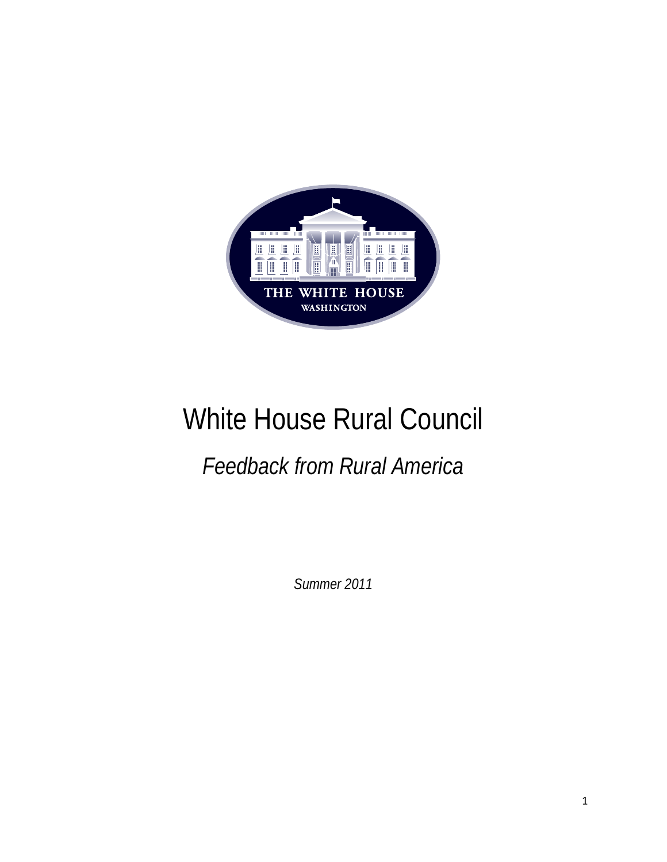

# White House Rural Council

# *Feedback from Rural America*

*Summer 2011*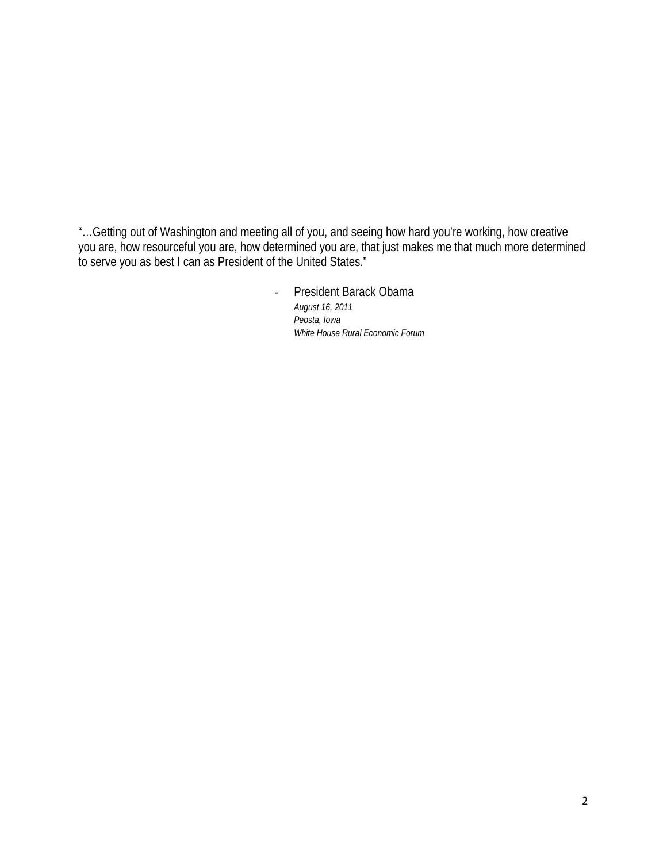"…Getting out of Washington and meeting all of you, and seeing how hard you're working, how creative you are, how resourceful you are, how determined you are, that just makes me that much more determined to serve you as best I can as President of the United States."

> - President Barack Obama *August 16, 2011 Peosta, Iowa White House Rural Economic Forum*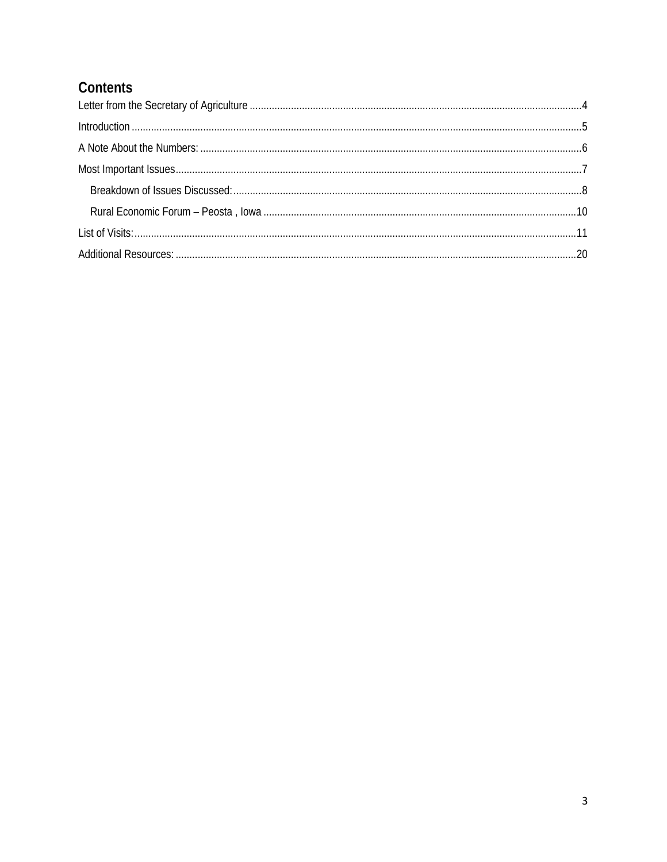## Contents

| $Introduction 1.15$ |  |
|---------------------|--|
|                     |  |
|                     |  |
|                     |  |
|                     |  |
|                     |  |
|                     |  |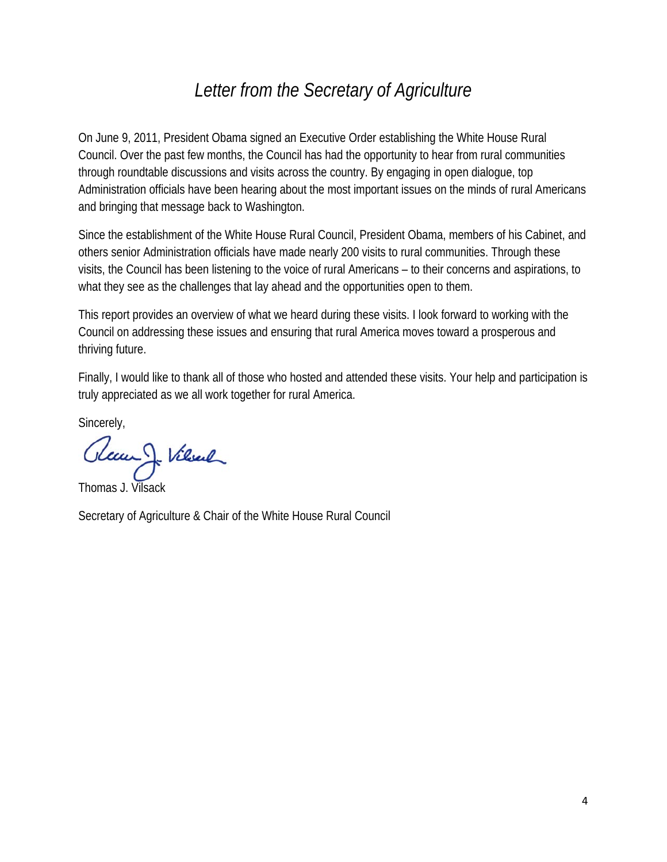# *Letter from the Secretary of Agriculture*

On June 9, 2011, President Obama signed an Executive Order establishing the White House Rural Council. Over the past few months, the Council has had the opportunity to hear from rural communities through roundtable discussions and visits across the country. By engaging in open dialogue, top Administration officials have been hearing about the most important issues on the minds of rural Americans and bringing that message back to Washington.

Since the establishment of the White House Rural Council, President Obama, members of his Cabinet, and others senior Administration officials have made nearly 200 visits to rural communities. Through these visits, the Council has been listening to the voice of rural Americans – to their concerns and aspirations, to what they see as the challenges that lay ahead and the opportunities open to them.

This report provides an overview of what we heard during these visits. I look forward to working with the Council on addressing these issues and ensuring that rural America moves toward a prosperous and thriving future.

Finally, I would like to thank all of those who hosted and attended these visits. Your help and participation is truly appreciated as we all work together for rural America.

Sincerely,

Gleum J. Vilsenle

Secretary of Agriculture & Chair of the White House Rural Council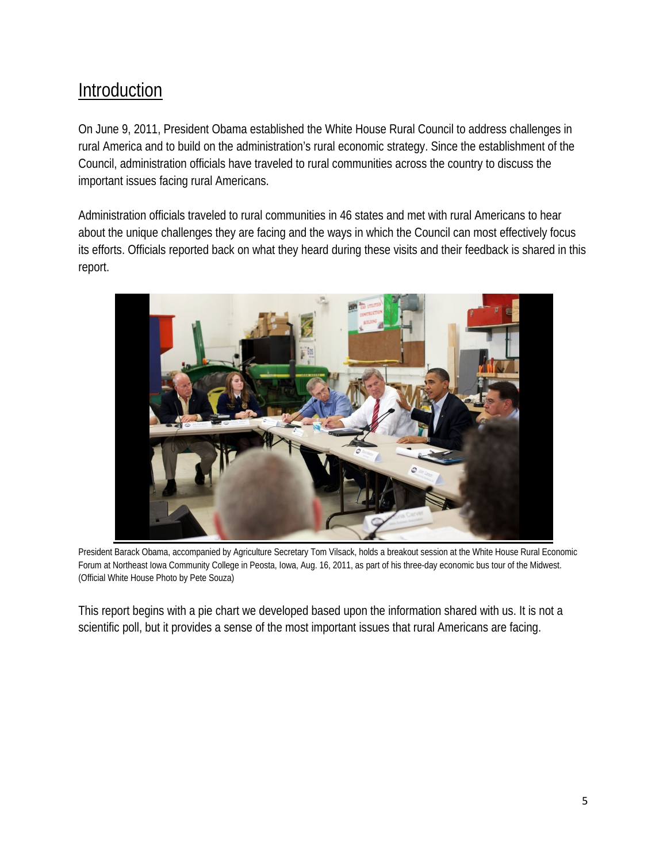# **Introduction**

On June 9, 2011, President Obama established the White House Rural Council to address challenges in rural America and to build on the administration's rural economic strategy. Since the establishment of the Council, administration officials have traveled to rural communities across the country to discuss the important issues facing rural Americans.

Administration officials traveled to rural communities in 46 states and met with rural Americans to hear about the unique challenges they are facing and the ways in which the Council can most effectively focus its efforts. Officials reported back on what they heard during these visits and their feedback is shared in this report.



President Barack Obama, accompanied by Agriculture Secretary Tom Vilsack, holds a breakout session at the White House Rural Economic Forum at Northeast Iowa Community College in Peosta, Iowa, Aug. 16, 2011, as part of his three-day economic bus tour of the Midwest. (Official White House Photo by Pete Souza)

This report begins with a pie chart we developed based upon the information shared with us. It is not a scientific poll, but it provides a sense of the most important issues that rural Americans are facing.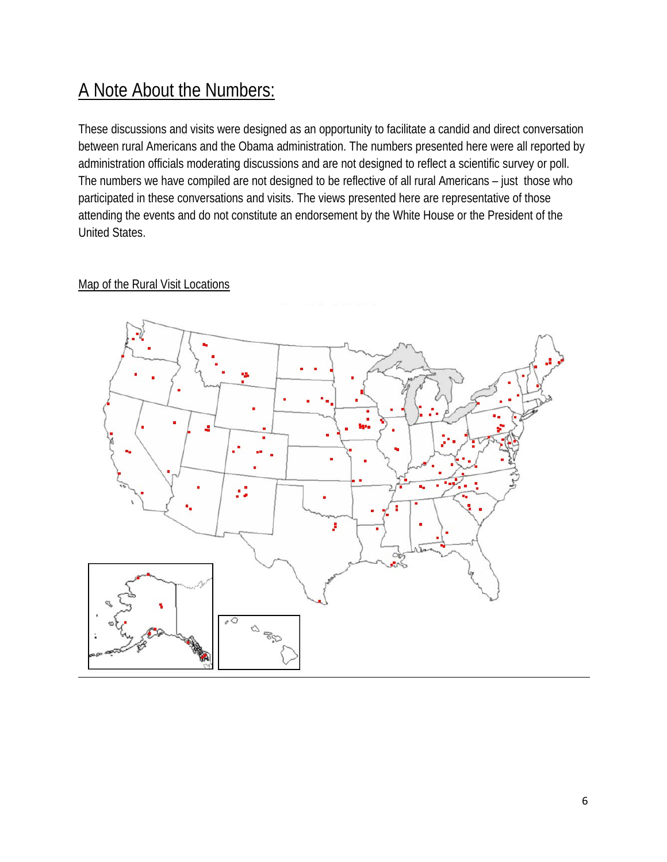# A Note About the Numbers:

These discussions and visits were designed as an opportunity to facilitate a candid and direct conversation between rural Americans and the Obama administration. The numbers presented here were all reported by administration officials moderating discussions and are not designed to reflect a scientific survey or poll. The numbers we have compiled are not designed to be reflective of all rural Americans – just those who participated in these conversations and visits. The views presented here are representative of those attending the events and do not constitute an endorsement by the White House or the President of the United States.

### Map of the Rural Visit Locations

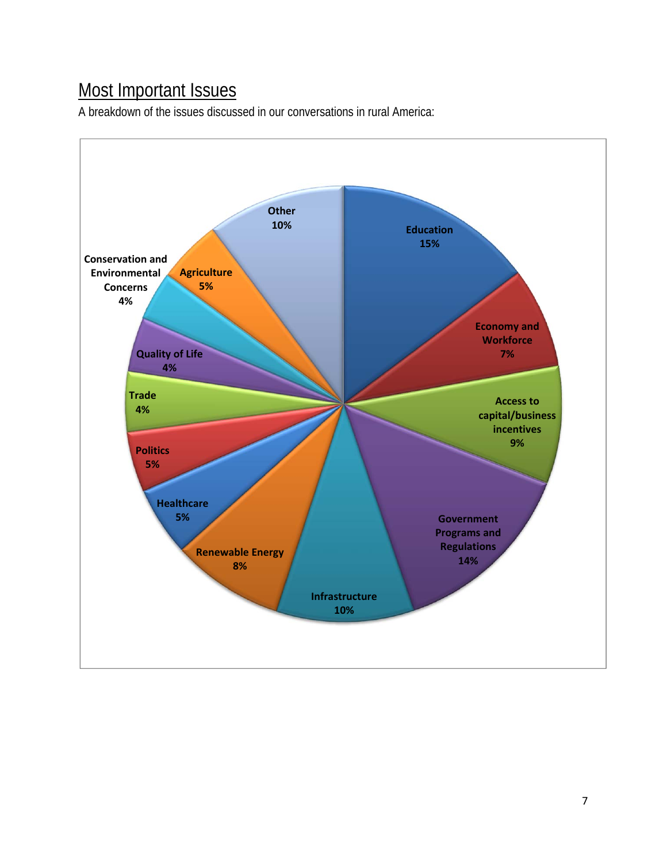# Most Important Issues

A breakdown of the issues discussed in our conversations in rural America:

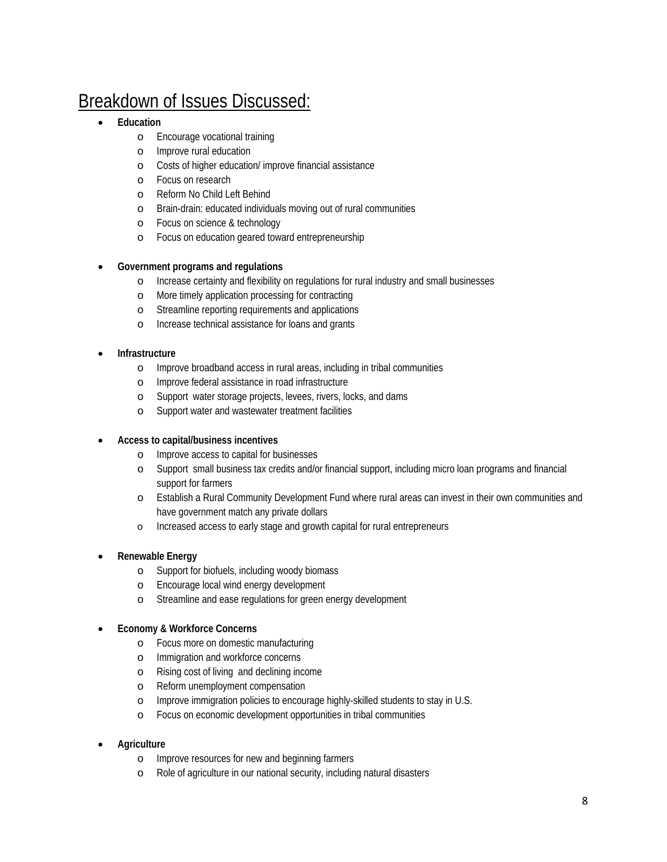# Breakdown of Issues Discussed:

- **Education** 
	- o Encourage vocational training
	- o Improve rural education
	- o Costs of higher education/ improve financial assistance
	- o Focus on research
	- o Reform No Child Left Behind
	- o Brain-drain: educated individuals moving out of rural communities
	- o Focus on science & technology
	- o Focus on education geared toward entrepreneurship

#### **Government programs and regulations**

- o Increase certainty and flexibility on regulations for rural industry and small businesses
- o More timely application processing for contracting
- o Streamline reporting requirements and applications
- o Increase technical assistance for loans and grants
- **Infrastructure** 
	- o Improve broadband access in rural areas, including in tribal communities
	- o Improve federal assistance in road infrastructure
	- o Support water storage projects, levees, rivers, locks, and dams
	- o Support water and wastewater treatment facilities

#### **Access to capital/business incentives**

- o Improve access to capital for businesses
- o Support small business tax credits and/or financial support, including micro loan programs and financial support for farmers
- o Establish a Rural Community Development Fund where rural areas can invest in their own communities and have government match any private dollars
- o Increased access to early stage and growth capital for rural entrepreneurs

#### **Renewable Energy**

- o Support for biofuels, including woody biomass
- o Encourage local wind energy development
- o Streamline and ease regulations for green energy development
- **Economy & Workforce Concerns** 
	- o Focus more on domestic manufacturing
	- o Immigration and workforce concerns
	- o Rising cost of living and declining income
	- o Reform unemployment compensation
	- o Improve immigration policies to encourage highly-skilled students to stay in U.S.
	- o Focus on economic development opportunities in tribal communities

#### **Agriculture**

- o Improve resources for new and beginning farmers
- o Role of agriculture in our national security, including natural disasters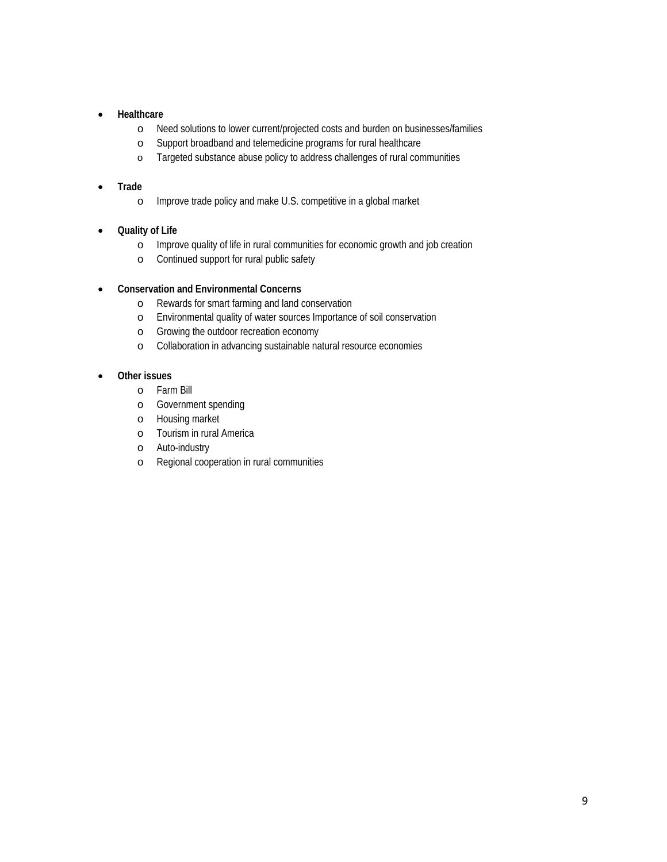#### **Healthcare**

- o Need solutions to lower current/projected costs and burden on businesses/families
- o Support broadband and telemedicine programs for rural healthcare
- o Targeted substance abuse policy to address challenges of rural communities

#### **Trade**

- o Improve trade policy and make U.S. competitive in a global market
- **Quality of Life** 
	- o Improve quality of life in rural communities for economic growth and job creation
	- o Continued support for rural public safety

#### **Conservation and Environmental Concerns**

- o Rewards for smart farming and land conservation
- o Environmental quality of water sources Importance of soil conservation
- o Growing the outdoor recreation economy
- o Collaboration in advancing sustainable natural resource economies

#### **Other issues**

- o Farm Bill
- o Government spending
- o Housing market
- o Tourism in rural America
- o Auto-industry
- o Regional cooperation in rural communities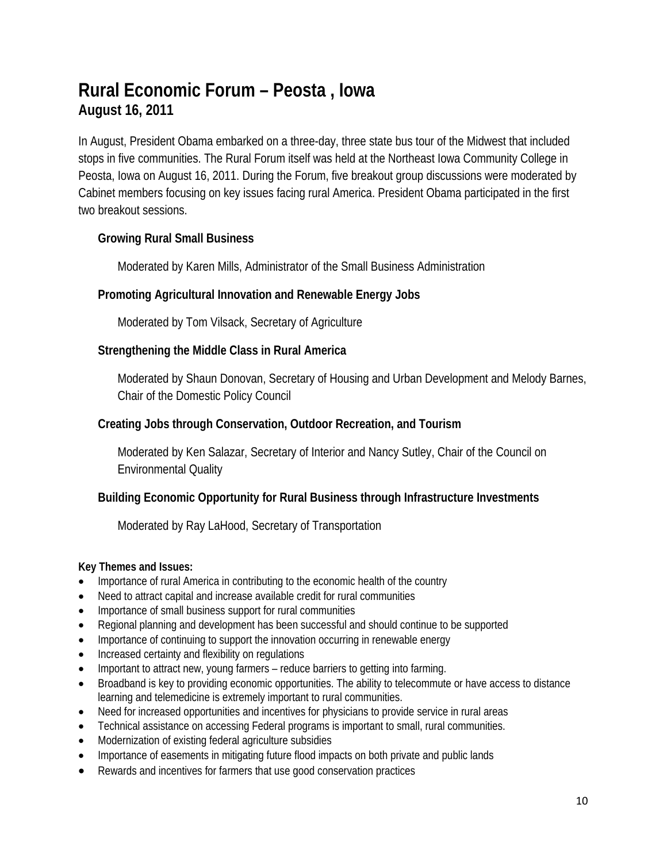# **Rural Economic Forum – Peosta , Iowa August 16, 2011**

In August, President Obama embarked on a three-day, three state bus tour of the Midwest that included stops in five communities. The Rural Forum itself was held at the Northeast Iowa Community College in Peosta, Iowa on August 16, 2011. During the Forum, five breakout group discussions were moderated by Cabinet members focusing on key issues facing rural America. President Obama participated in the first two breakout sessions.

### **Growing Rural Small Business**

Moderated by Karen Mills, Administrator of the Small Business Administration

### **Promoting Agricultural Innovation and Renewable Energy Jobs**

Moderated by Tom Vilsack, Secretary of Agriculture

### **Strengthening the Middle Class in Rural America**

Moderated by Shaun Donovan, Secretary of Housing and Urban Development and Melody Barnes, Chair of the Domestic Policy Council

### **Creating Jobs through Conservation, Outdoor Recreation, and Tourism**

Moderated by Ken Salazar, Secretary of Interior and Nancy Sutley, Chair of the Council on Environmental Quality

### **Building Economic Opportunity for Rural Business through Infrastructure Investments**

Moderated by Ray LaHood, Secretary of Transportation

#### **Key Themes and Issues:**

- Importance of rural America in contributing to the economic health of the country
- Need to attract capital and increase available credit for rural communities
- Importance of small business support for rural communities
- Regional planning and development has been successful and should continue to be supported
- Importance of continuing to support the innovation occurring in renewable energy
- Increased certainty and flexibility on regulations
- Important to attract new, young farmers reduce barriers to getting into farming.
- Broadband is key to providing economic opportunities. The ability to telecommute or have access to distance learning and telemedicine is extremely important to rural communities.
- Need for increased opportunities and incentives for physicians to provide service in rural areas
- Technical assistance on accessing Federal programs is important to small, rural communities.
- Modernization of existing federal agriculture subsidies
- Importance of easements in mitigating future flood impacts on both private and public lands
- Rewards and incentives for farmers that use good conservation practices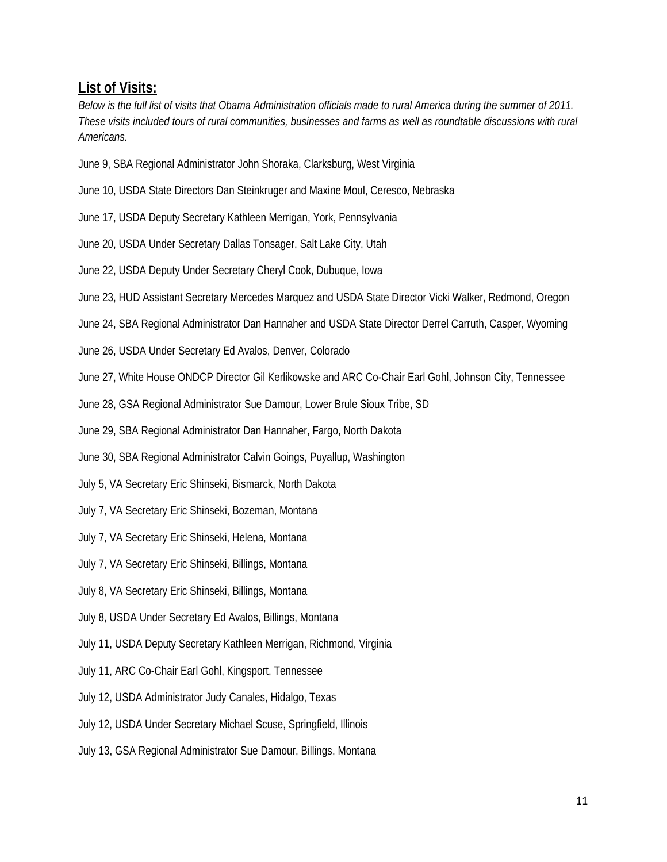### **List of Visits:**

*Below is the full list of visits that Obama Administration officials made to rural America during the summer of 2011. These visits included tours of rural communities, businesses and farms as well as roundtable discussions with rural Americans.* 

- June 9, SBA Regional Administrator John Shoraka, Clarksburg, West Virginia
- June 10, USDA State Directors Dan Steinkruger and Maxine Moul, Ceresco, Nebraska
- June 17, USDA Deputy Secretary Kathleen Merrigan, York, Pennsylvania
- June 20, USDA Under Secretary Dallas Tonsager, Salt Lake City, Utah
- June 22, USDA Deputy Under Secretary Cheryl Cook, Dubuque, Iowa
- June 23, HUD Assistant Secretary Mercedes Marquez and USDA State Director Vicki Walker, Redmond, Oregon
- June 24, SBA Regional Administrator Dan Hannaher and USDA State Director Derrel Carruth, Casper, Wyoming
- June 26, USDA Under Secretary Ed Avalos, Denver, Colorado
- June 27, White House ONDCP Director Gil Kerlikowske and ARC Co-Chair Earl Gohl, Johnson City, Tennessee
- June 28, GSA Regional Administrator Sue Damour, Lower Brule Sioux Tribe, SD
- June 29, SBA Regional Administrator Dan Hannaher, Fargo, North Dakota
- June 30, SBA Regional Administrator Calvin Goings, Puyallup, Washington
- July 5, VA Secretary Eric Shinseki, Bismarck, North Dakota
- July 7, VA Secretary Eric Shinseki, Bozeman, Montana
- July 7, VA Secretary Eric Shinseki, Helena, Montana
- July 7, VA Secretary Eric Shinseki, Billings, Montana
- July 8, VA Secretary Eric Shinseki, Billings, Montana
- July 8, USDA Under Secretary Ed Avalos, Billings, Montana
- July 11, USDA Deputy Secretary Kathleen Merrigan, Richmond, Virginia
- July 11, ARC Co-Chair Earl Gohl, Kingsport, Tennessee
- July 12, USDA Administrator Judy Canales, Hidalgo, Texas
- July 12, USDA Under Secretary Michael Scuse, Springfield, Illinois
- July 13, GSA Regional Administrator Sue Damour, Billings, Montana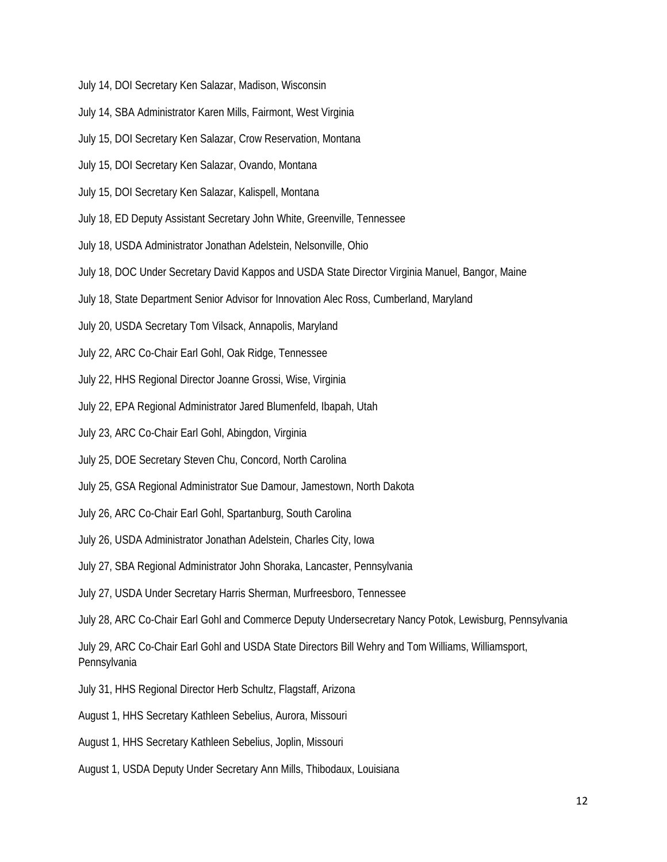- July 14, DOI Secretary Ken Salazar, Madison, Wisconsin
- July 14, SBA Administrator Karen Mills, Fairmont, West Virginia
- July 15, DOI Secretary Ken Salazar, Crow Reservation, Montana
- July 15, DOI Secretary Ken Salazar, Ovando, Montana
- July 15, DOI Secretary Ken Salazar, Kalispell, Montana
- July 18, ED Deputy Assistant Secretary John White, Greenville, Tennessee
- July 18, USDA Administrator Jonathan Adelstein, Nelsonville, Ohio
- July 18, DOC Under Secretary David Kappos and USDA State Director Virginia Manuel, Bangor, Maine
- July 18, State Department Senior Advisor for Innovation Alec Ross, Cumberland, Maryland
- July 20, USDA Secretary Tom Vilsack, Annapolis, Maryland
- July 22, ARC Co-Chair Earl Gohl, Oak Ridge, Tennessee
- July 22, HHS Regional Director Joanne Grossi, Wise, Virginia
- July 22, EPA Regional Administrator Jared Blumenfeld, Ibapah, Utah
- July 23, ARC Co-Chair Earl Gohl, Abingdon, Virginia
- July 25, DOE Secretary Steven Chu, Concord, North Carolina
- July 25, GSA Regional Administrator Sue Damour, Jamestown, North Dakota
- July 26, ARC Co-Chair Earl Gohl, Spartanburg, South Carolina
- July 26, USDA Administrator Jonathan Adelstein, Charles City, Iowa
- July 27, SBA Regional Administrator John Shoraka, Lancaster, Pennsylvania
- July 27, USDA Under Secretary Harris Sherman, Murfreesboro, Tennessee
- July 28, ARC Co-Chair Earl Gohl and Commerce Deputy Undersecretary Nancy Potok, Lewisburg, Pennsylvania

July 29, ARC Co-Chair Earl Gohl and USDA State Directors Bill Wehry and Tom Williams, Williamsport, Pennsylvania

- July 31, HHS Regional Director Herb Schultz, Flagstaff, Arizona
- August 1, HHS Secretary Kathleen Sebelius, Aurora, Missouri
- August 1, HHS Secretary Kathleen Sebelius, Joplin, Missouri
- August 1, USDA Deputy Under Secretary Ann Mills, Thibodaux, Louisiana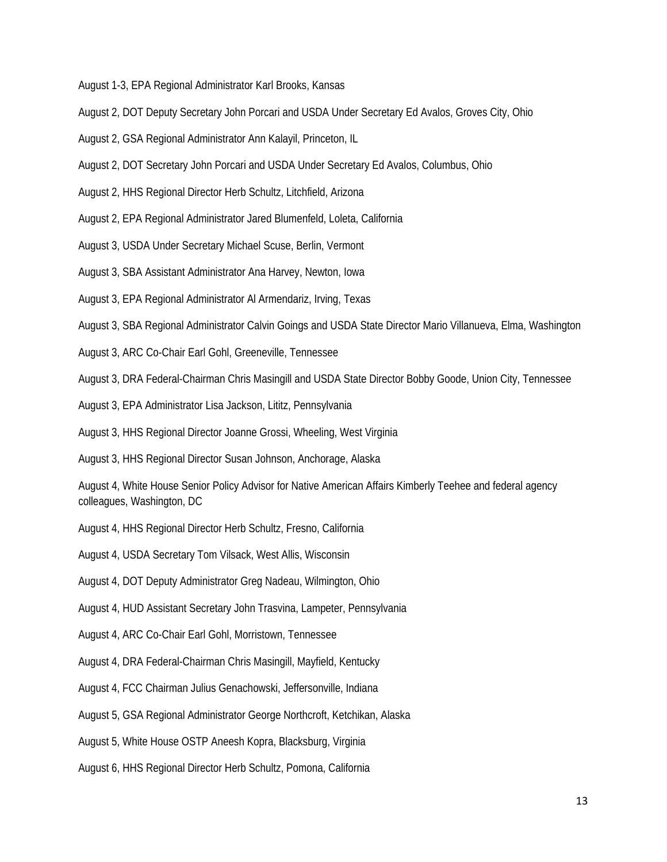August 1-3, EPA Regional Administrator Karl Brooks, Kansas

- August 2, DOT Deputy Secretary John Porcari and USDA Under Secretary Ed Avalos, Groves City, Ohio
- August 2, GSA Regional Administrator Ann Kalayil, Princeton, IL
- August 2, DOT Secretary John Porcari and USDA Under Secretary Ed Avalos, Columbus, Ohio
- August 2, HHS Regional Director Herb Schultz, Litchfield, Arizona
- August 2, EPA Regional Administrator Jared Blumenfeld, Loleta, California
- August 3, USDA Under Secretary Michael Scuse, Berlin, Vermont
- August 3, SBA Assistant Administrator Ana Harvey, Newton, Iowa
- August 3, EPA Regional Administrator Al Armendariz, Irving, Texas

August 3, SBA Regional Administrator Calvin Goings and USDA State Director Mario Villanueva, Elma, Washington

- August 3, ARC Co-Chair Earl Gohl, Greeneville, Tennessee
- August 3, DRA Federal-Chairman Chris Masingill and USDA State Director Bobby Goode, Union City, Tennessee
- August 3, EPA Administrator Lisa Jackson, Lititz, Pennsylvania
- August 3, HHS Regional Director Joanne Grossi, Wheeling, West Virginia
- August 3, HHS Regional Director Susan Johnson, Anchorage, Alaska

August 4, White House Senior Policy Advisor for Native American Affairs Kimberly Teehee and federal agency colleagues, Washington, DC

August 4, HHS Regional Director Herb Schultz, Fresno, California

August 4, USDA Secretary Tom Vilsack, West Allis, Wisconsin

August 4, DOT Deputy Administrator Greg Nadeau, Wilmington, Ohio

August 4, HUD Assistant Secretary John Trasvina, Lampeter, Pennsylvania

- August 4, ARC Co-Chair Earl Gohl, Morristown, Tennessee
- August 4, DRA Federal-Chairman Chris Masingill, Mayfield, Kentucky
- August 4, FCC Chairman Julius Genachowski, Jeffersonville, Indiana
- August 5, GSA Regional Administrator George Northcroft, Ketchikan, Alaska
- August 5, White House OSTP Aneesh Kopra, Blacksburg, Virginia
- August 6, HHS Regional Director Herb Schultz, Pomona, California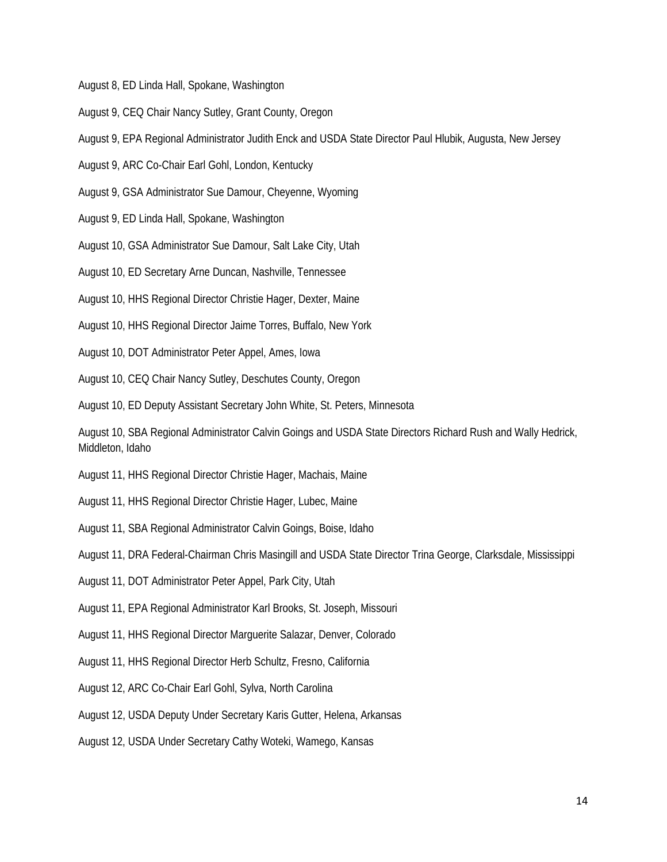August 8, ED Linda Hall, Spokane, Washington

- August 9, CEQ Chair Nancy Sutley, Grant County, Oregon
- August 9, EPA Regional Administrator Judith Enck and USDA State Director Paul Hlubik, Augusta, New Jersey
- August 9, ARC Co-Chair Earl Gohl, London, Kentucky
- August 9, GSA Administrator Sue Damour, Cheyenne, Wyoming
- August 9, ED Linda Hall, Spokane, Washington
- August 10, GSA Administrator Sue Damour, Salt Lake City, Utah
- August 10, ED Secretary Arne Duncan, Nashville, Tennessee
- August 10, HHS Regional Director Christie Hager, Dexter, Maine
- August 10, HHS Regional Director Jaime Torres, Buffalo, New York
- August 10, DOT Administrator Peter Appel, Ames, Iowa
- August 10, CEQ Chair Nancy Sutley, Deschutes County, Oregon
- August 10, ED Deputy Assistant Secretary John White, St. Peters, Minnesota
- August 10, SBA Regional Administrator Calvin Goings and USDA State Directors Richard Rush and Wally Hedrick, Middleton, Idaho
- August 11, HHS Regional Director Christie Hager, Machais, Maine
- August 11, HHS Regional Director Christie Hager, Lubec, Maine
- August 11, SBA Regional Administrator Calvin Goings, Boise, Idaho
- August 11, DRA Federal-Chairman Chris Masingill and USDA State Director Trina George, Clarksdale, Mississippi
- August 11, DOT Administrator Peter Appel, Park City, Utah
- August 11, EPA Regional Administrator Karl Brooks, St. Joseph, Missouri
- August 11, HHS Regional Director Marguerite Salazar, Denver, Colorado
- August 11, HHS Regional Director Herb Schultz, Fresno, California
- August 12, ARC Co-Chair Earl Gohl, Sylva, North Carolina
- August 12, USDA Deputy Under Secretary Karis Gutter, Helena, Arkansas
- August 12, USDA Under Secretary Cathy Woteki, Wamego, Kansas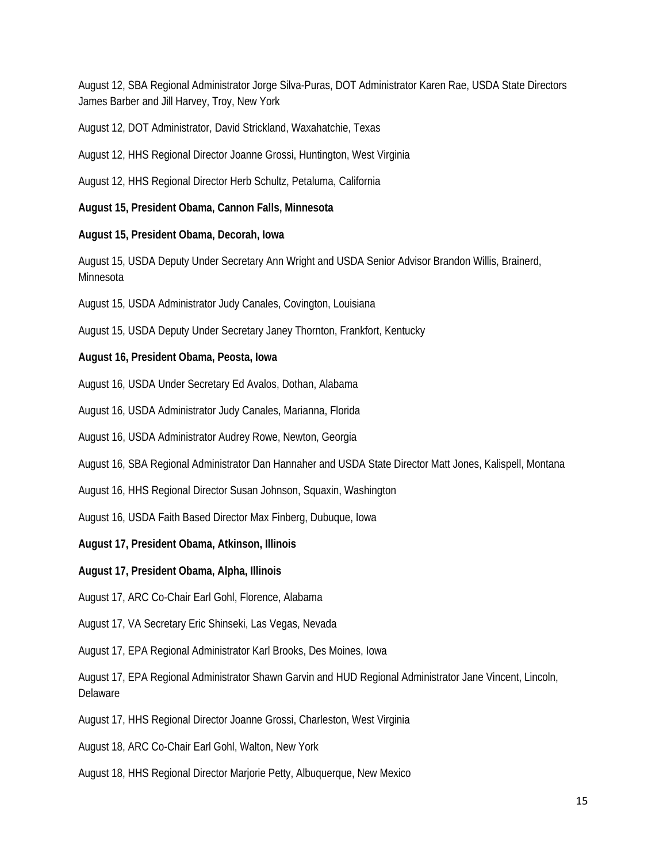August 12, SBA Regional Administrator Jorge Silva-Puras, DOT Administrator Karen Rae, USDA State Directors James Barber and Jill Harvey, Troy, New York

August 12, DOT Administrator, David Strickland, Waxahatchie, Texas

August 12, HHS Regional Director Joanne Grossi, Huntington, West Virginia

August 12, HHS Regional Director Herb Schultz, Petaluma, California

#### **August 15, President Obama, Cannon Falls, Minnesota**

#### **August 15, President Obama, Decorah, Iowa**

August 15, USDA Deputy Under Secretary Ann Wright and USDA Senior Advisor Brandon Willis, Brainerd, Minnesota

August 15, USDA Administrator Judy Canales, Covington, Louisiana

August 15, USDA Deputy Under Secretary Janey Thornton, Frankfort, Kentucky

#### **August 16, President Obama, Peosta, Iowa**

August 16, USDA Under Secretary Ed Avalos, Dothan, Alabama

August 16, USDA Administrator Judy Canales, Marianna, Florida

August 16, USDA Administrator Audrey Rowe, Newton, Georgia

August 16, SBA Regional Administrator Dan Hannaher and USDA State Director Matt Jones, Kalispell, Montana

August 16, HHS Regional Director Susan Johnson, Squaxin, Washington

August 16, USDA Faith Based Director Max Finberg, Dubuque, Iowa

**August 17, President Obama, Atkinson, Illinois** 

**August 17, President Obama, Alpha, Illinois** 

August 17, ARC Co-Chair Earl Gohl, Florence, Alabama

August 17, VA Secretary Eric Shinseki, Las Vegas, Nevada

August 17, EPA Regional Administrator Karl Brooks, Des Moines, Iowa

August 17, EPA Regional Administrator Shawn Garvin and HUD Regional Administrator Jane Vincent, Lincoln, Delaware

August 17, HHS Regional Director Joanne Grossi, Charleston, West Virginia

August 18, ARC Co-Chair Earl Gohl, Walton, New York

August 18, HHS Regional Director Marjorie Petty, Albuquerque, New Mexico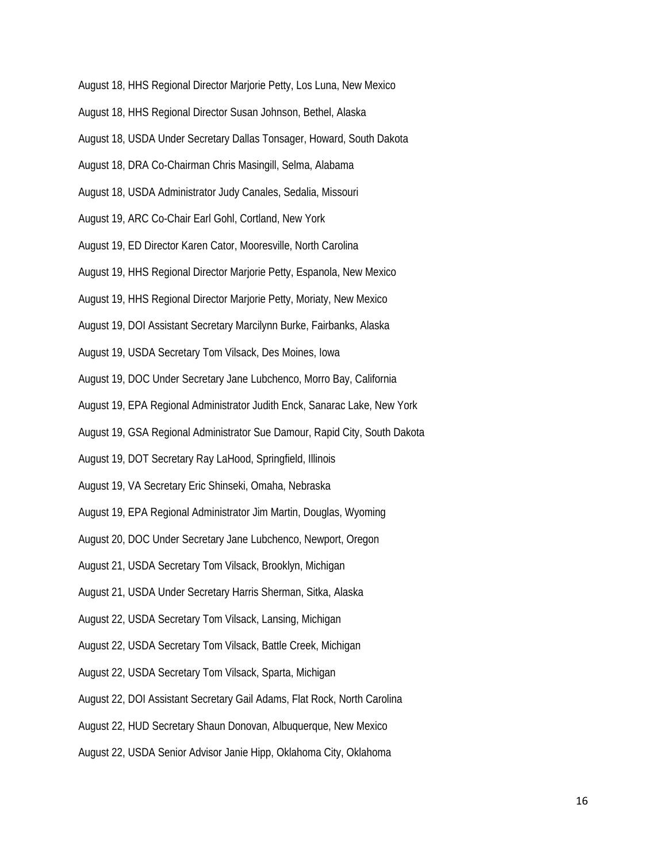- August 18, HHS Regional Director Marjorie Petty, Los Luna, New Mexico
- August 18, HHS Regional Director Susan Johnson, Bethel, Alaska
- August 18, USDA Under Secretary Dallas Tonsager, Howard, South Dakota
- August 18, DRA Co-Chairman Chris Masingill, Selma, Alabama
- August 18, USDA Administrator Judy Canales, Sedalia, Missouri
- August 19, ARC Co-Chair Earl Gohl, Cortland, New York
- August 19, ED Director Karen Cator, Mooresville, North Carolina
- August 19, HHS Regional Director Marjorie Petty, Espanola, New Mexico
- August 19, HHS Regional Director Marjorie Petty, Moriaty, New Mexico
- August 19, DOI Assistant Secretary Marcilynn Burke, Fairbanks, Alaska
- August 19, USDA Secretary Tom Vilsack, Des Moines, Iowa
- August 19, DOC Under Secretary Jane Lubchenco, Morro Bay, California
- August 19, EPA Regional Administrator Judith Enck, Sanarac Lake, New York
- August 19, GSA Regional Administrator Sue Damour, Rapid City, South Dakota
- August 19, DOT Secretary Ray LaHood, Springfield, Illinois
- August 19, VA Secretary Eric Shinseki, Omaha, Nebraska
- August 19, EPA Regional Administrator Jim Martin, Douglas, Wyoming
- August 20, DOC Under Secretary Jane Lubchenco, Newport, Oregon
- August 21, USDA Secretary Tom Vilsack, Brooklyn, Michigan
- August 21, USDA Under Secretary Harris Sherman, Sitka, Alaska
- August 22, USDA Secretary Tom Vilsack, Lansing, Michigan
- August 22, USDA Secretary Tom Vilsack, Battle Creek, Michigan
- August 22, USDA Secretary Tom Vilsack, Sparta, Michigan
- August 22, DOI Assistant Secretary Gail Adams, Flat Rock, North Carolina
- August 22, HUD Secretary Shaun Donovan, Albuquerque, New Mexico
- August 22, USDA Senior Advisor Janie Hipp, Oklahoma City, Oklahoma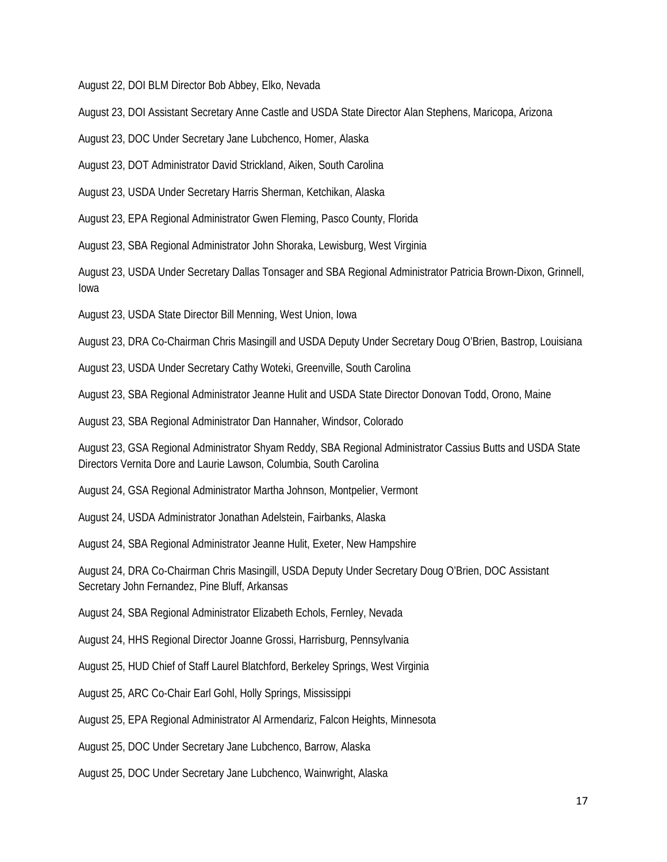August 22, DOI BLM Director Bob Abbey, Elko, Nevada

August 23, DOI Assistant Secretary Anne Castle and USDA State Director Alan Stephens, Maricopa, Arizona

August 23, DOC Under Secretary Jane Lubchenco, Homer, Alaska

August 23, DOT Administrator David Strickland, Aiken, South Carolina

August 23, USDA Under Secretary Harris Sherman, Ketchikan, Alaska

August 23, EPA Regional Administrator Gwen Fleming, Pasco County, Florida

August 23, SBA Regional Administrator John Shoraka, Lewisburg, West Virginia

August 23, USDA Under Secretary Dallas Tonsager and SBA Regional Administrator Patricia Brown-Dixon, Grinnell, Iowa

August 23, USDA State Director Bill Menning, West Union, Iowa

August 23, DRA Co-Chairman Chris Masingill and USDA Deputy Under Secretary Doug O'Brien, Bastrop, Louisiana

August 23, USDA Under Secretary Cathy Woteki, Greenville, South Carolina

August 23, SBA Regional Administrator Jeanne Hulit and USDA State Director Donovan Todd, Orono, Maine

August 23, SBA Regional Administrator Dan Hannaher, Windsor, Colorado

August 23, GSA Regional Administrator Shyam Reddy, SBA Regional Administrator Cassius Butts and USDA State Directors Vernita Dore and Laurie Lawson, Columbia, South Carolina

August 24, GSA Regional Administrator Martha Johnson, Montpelier, Vermont

August 24, USDA Administrator Jonathan Adelstein, Fairbanks, Alaska

August 24, SBA Regional Administrator Jeanne Hulit, Exeter, New Hampshire

August 24, DRA Co-Chairman Chris Masingill, USDA Deputy Under Secretary Doug O'Brien, DOC Assistant Secretary John Fernandez, Pine Bluff, Arkansas

August 24, SBA Regional Administrator Elizabeth Echols, Fernley, Nevada

August 24, HHS Regional Director Joanne Grossi, Harrisburg, Pennsylvania

August 25, HUD Chief of Staff Laurel Blatchford, Berkeley Springs, West Virginia

August 25, ARC Co-Chair Earl Gohl, Holly Springs, Mississippi

August 25, EPA Regional Administrator Al Armendariz, Falcon Heights, Minnesota

August 25, DOC Under Secretary Jane Lubchenco, Barrow, Alaska

August 25, DOC Under Secretary Jane Lubchenco, Wainwright, Alaska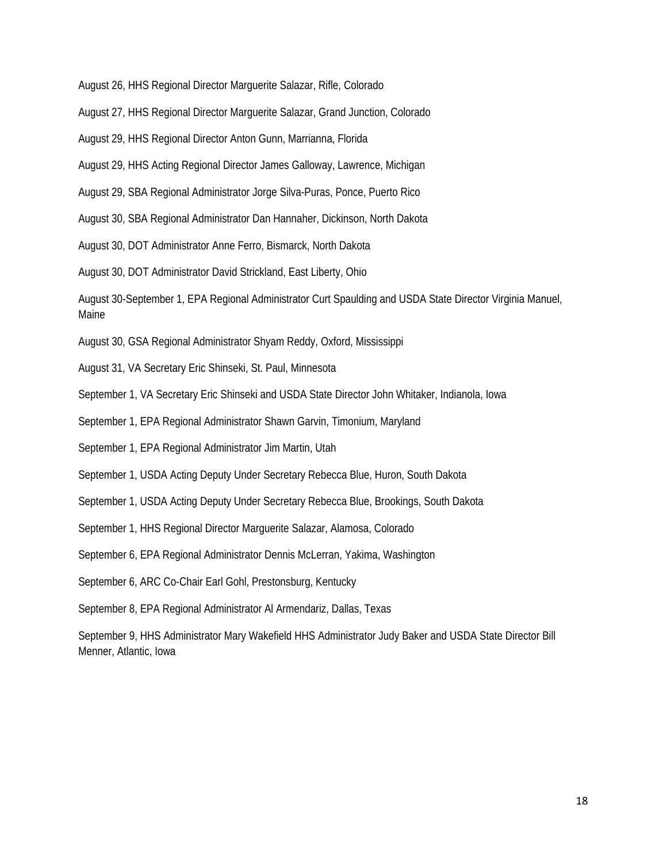August 26, HHS Regional Director Marguerite Salazar, Rifle, Colorado

- August 27, HHS Regional Director Marguerite Salazar, Grand Junction, Colorado
- August 29, HHS Regional Director Anton Gunn, Marrianna, Florida
- August 29, HHS Acting Regional Director James Galloway, Lawrence, Michigan
- August 29, SBA Regional Administrator Jorge Silva-Puras, Ponce, Puerto Rico
- August 30, SBA Regional Administrator Dan Hannaher, Dickinson, North Dakota
- August 30, DOT Administrator Anne Ferro, Bismarck, North Dakota

August 30, DOT Administrator David Strickland, East Liberty, Ohio

August 30-September 1, EPA Regional Administrator Curt Spaulding and USDA State Director Virginia Manuel, Maine

- August 30, GSA Regional Administrator Shyam Reddy, Oxford, Mississippi
- August 31, VA Secretary Eric Shinseki, St. Paul, Minnesota
- September 1, VA Secretary Eric Shinseki and USDA State Director John Whitaker, Indianola, Iowa
- September 1, EPA Regional Administrator Shawn Garvin, Timonium, Maryland
- September 1, EPA Regional Administrator Jim Martin, Utah
- September 1, USDA Acting Deputy Under Secretary Rebecca Blue, Huron, South Dakota
- September 1, USDA Acting Deputy Under Secretary Rebecca Blue, Brookings, South Dakota
- September 1, HHS Regional Director Marguerite Salazar, Alamosa, Colorado
- September 6, EPA Regional Administrator Dennis McLerran, Yakima, Washington
- September 6, ARC Co-Chair Earl Gohl, Prestonsburg, Kentucky
- September 8, EPA Regional Administrator Al Armendariz, Dallas, Texas

September 9, HHS Administrator Mary Wakefield HHS Administrator Judy Baker and USDA State Director Bill Menner, Atlantic, Iowa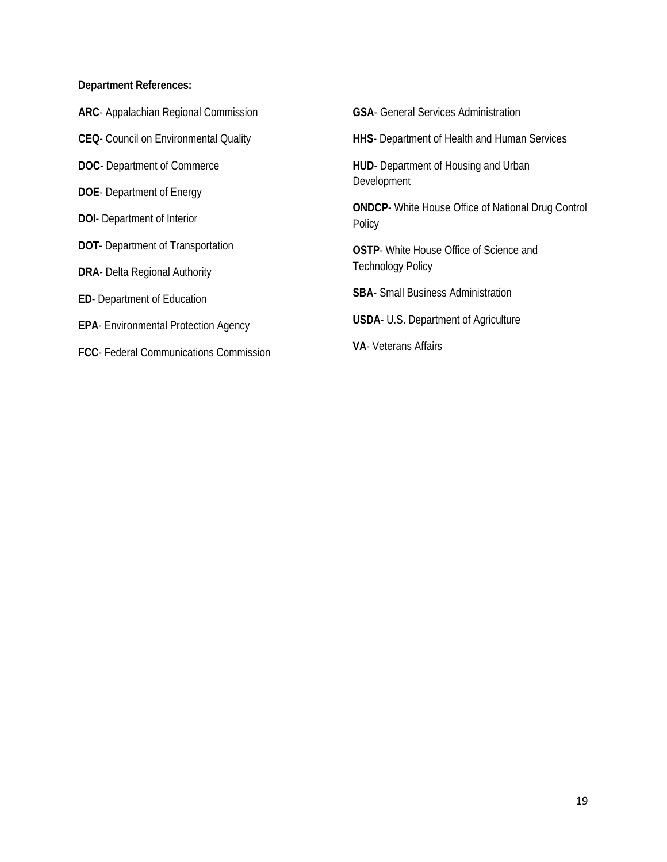#### **Department References:**

- **ARC** Appalachian Regional Commission
- **CEQ** Council on Environmental Quality
- **DOC** Department of Commerce
- **DOE** Department of Energy
- **DOI** Department of Interior
- **DOT** Department of Transportation
- **DRA** Delta Regional Authority
- **ED** Department of Education
- **EPA** Environmental Protection Agency
- **FCC** Federal Communications Commission

**GSA**- General Services Administration

**HHS**- Department of Health and Human Services

**HUD**- Department of Housing and Urban Development

**ONDCP-** White House Office of National Drug Control Policy

**OSTP**- White House Office of Science and Technology Policy

**SBA**- Small Business Administration

**USDA**- U.S. Department of Agriculture

**VA**- Veterans Affairs